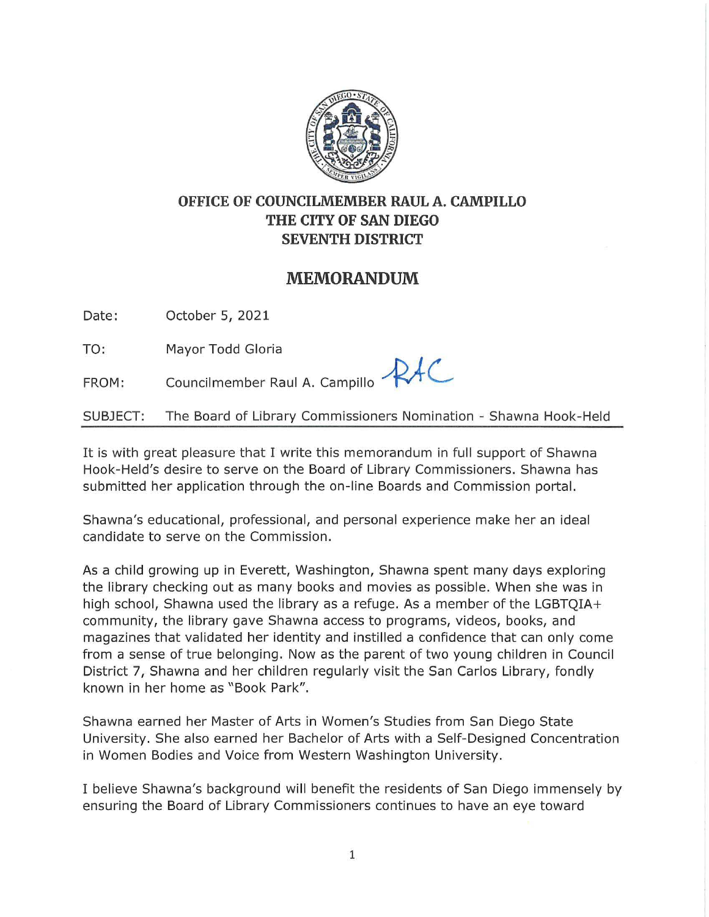

## **OFFICE OF COUNCILMEMBER RAUL A. CAMPILLO THE CITY OF SAN DIEGO SEVENTH DISTRICT**

## **MEMORANDUM**

Date: October 5, 2021

TO: Mayor Todd Gloria

FROM: Councilmember Raul A. Campillo  $RAC$ 

SUBJECT: The Board of Library Commissioners Nomination - Shawna Hook-Held

It is with great pleasure that I write this memorandum in full support of Shawna Hook-Held's desire to serve on the Board of Library Commissioners. Shawna has submitted her application through the on-line Boards and Commission portal.

Shawna's educational, professional, and personal experience make her an ideal candidate to serve on the Commission.

As a child growing up in Everett, Washington, Shawna spent many days exploring the library checking out as many books and movies as possible. When she was in high school, Shawna used the library as a refuge. As a member of the LGBTQIA+ community, the library gave Shawna access to programs, videos, books, and magazines that validated her identity and instilled a confidence that can only come from a sense of true belonging. Now as the parent of two young children in Council District 7, Shawna and her children regularly visit the San Carlos Library, fondly known in her home as "Book Park".

Shawna earned her Master of Arts in Women's Studies from San Diego State University. She also earned her Bachelor of Arts with a Self-Designed Concentration in Women Bodies and Voice from Western Washington University.

I believe Shawna's background will benefit the residents of San Diego immensely by ensuring the Board of Library Commissioners continues to have an eye toward